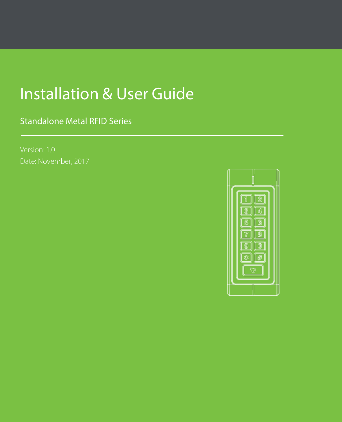# Installation & User Guide

Standalone Metal RFID Series

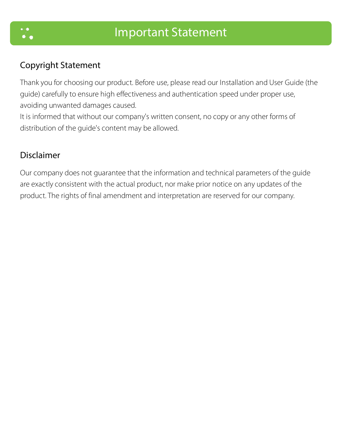

#### Copyright Statement

Thank you for choosing our product. Before use, please read our Installation and User Guide (the guide) carefully to ensure high effectiveness and authentication speed under proper use, avoiding unwanted damages caused.

It is informed that without our company's written consent, no copy or any other forms of distribution of the guide's content may be allowed.

#### Disclaimer

Our company does not guarantee that the information and technical parameters of the guide are exactly consistent with the actual product, nor make prior notice on any updates of the product. The rights of final amendment and interpretation are reserved for our company.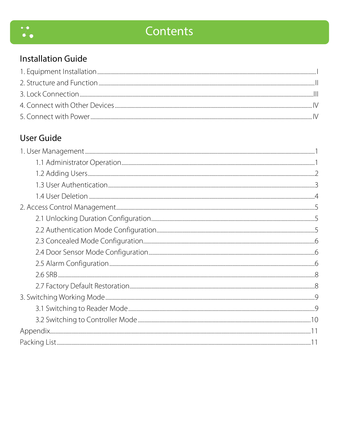

# **Installation Guide**

| <b>N</b> |
|----------|
|          |

# User Guide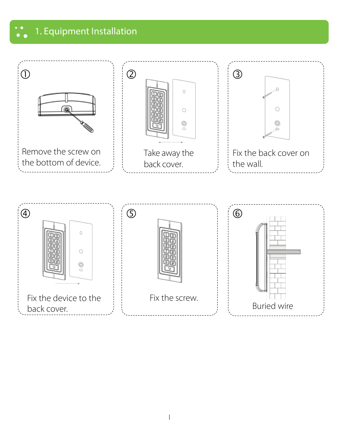<span id="page-3-0"></span>1. Equipment Installation 7.

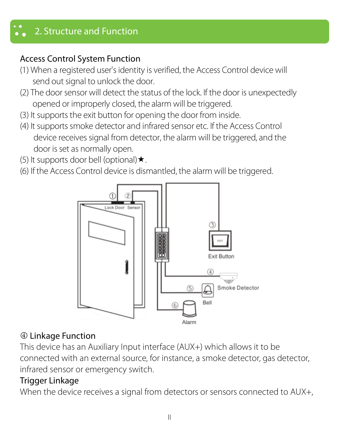# <span id="page-4-0"></span>2. Structure and Function

# Access Control System Function

- (1) When a registered user's identity is verified, the Access Control device will send out signal to unlock the door.
- (2) The door sensor will detect the status of the lock. If the door is unexpectedly opened or improperly closed, the alarm will be triggered.
- (3) It supports the exit button for opening the door from inside.
- (4) It supports smoke detector and infrared sensor etc. If the Access Control device receives signal from detector, the alarm will be triggered, and the door is set as normally open.
- (5) It supports door bell (optional)  $\star$ .
- (6) If the Access Control device is dismantled, the alarm will be triggered.



#### Linkage Function

This device has an Auxiliary Input interface (AUX+) which allows it to be connected with an external source, for instance, a smoke detector, gas detector, infrared sensor or emergency switch.

# Trigger Linkage

When the device receives a signal from detectors or sensors connected to AUX+,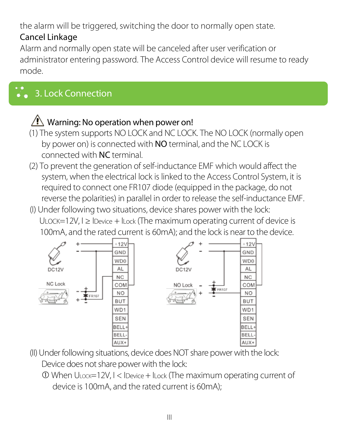the alarm will be triggered, switching the door to normally open state.

# Cancel Linkage

Alarm and normally open state will be canceled after user verification or administrator entering password. The Access Control device will resume to ready mode.

# <span id="page-5-0"></span>3. Lock Connection

# $\sqrt{N}$  Warning: No operation when power on!

- (1) The system supports NO LOCK and NC LOCK. The NO LOCK (normally open by power on) is connected with NO terminal, and the NC LOCK is connected with NC terminal.
- (2) To prevent the generation of self-inductance EMF which would affect the system, when the electrical lock is linked to the Access Control System, it is required to connect one FR107 diode (equipped in the package, do not reverse the polarities) in parallel in order to release the self-inductance EMF.
- (I) Under following two situations, device shares power with the lock: ULOCK=12V, I ≥ IDevice + ILock (The maximum operating current of device is 100mA, and the rated current is 60mA); and the lock is near to the device.



- (II) Under following situations, device does NOT share power with the lock: Device does not share power with the lock:
	- When ULOCK=12V, I < IDevice+ ILock (The maximum operating current of device is 100mA, and the rated current is 60mA);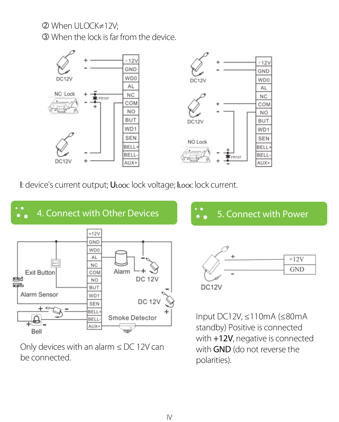When ULOCK≠12V; When the lock is far from the device.



I: device's current output; ULock: lock voltage; ILock: lock current.



Only devices with an alarm ≤ DC 12V can be connected.

with +12V, negative is connected with GND (do not reverse the polarities).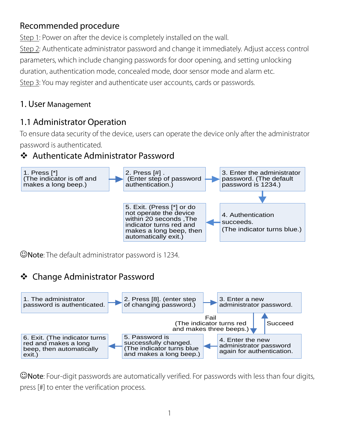# Recommended procedure

Step 1: Power on after the device is completely installed on the wall. Step 2: Authenticate administrator password and change it immediately. Adjust access control parameters, which include changing passwords for door opening, and setting unlocking duration, authentication mode, concealed mode, door sensor mode and alarm etc. Step 3: You may register and authenticate user accounts, cards or passwords.

#### <span id="page-7-0"></span>1. User Management

#### <span id="page-7-1"></span>1.1 Administrator Operation

To ensure data security of the device, users can operate the device only after the administrator password is authenticated.

#### Authenticate Administrator Password



Note: The default administrator password is 1234.

#### Change Administrator Password



CNote: Four-digit passwords are automatically verified. For passwords with less than four digits, press [#] to enter the verification process.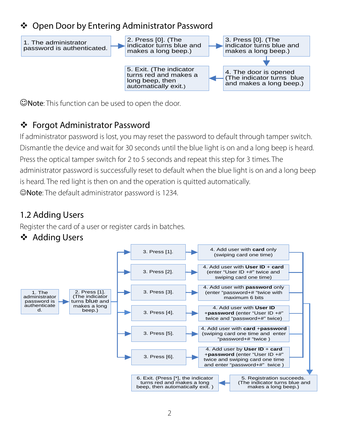#### Open Door by Entering Administrator Password



Note: This function can be used to open the door.

# Forgot Administrator Password

If administrator password is lost, you may reset the password to default through tamper switch. Dismantle the device and wait for 30 seconds until the blue light is on and a long beep is heard. Press the optical tamper switch for 2 to 5 seconds and repeat this step for 3 times. The administrator password is successfully reset to default when the blue light is on and a long beep is heard. The red light is then on and the operation is quitted automatically. Note: The default administrator password is 1234.

# <span id="page-8-0"></span>1.2 Adding Users

Register the card of a user or register cards in batches.

Adding Users

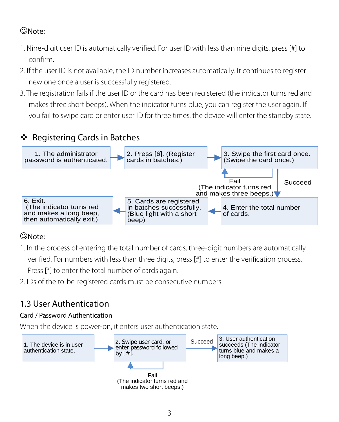# Note:

- 1. Nine-digit user ID is automatically verified. For user ID with less than nine digits, press [#] to confirm.
- 2. If the user ID is not available, the ID number increases automatically. It continues to register new one once a user is successfully registered.
- 3. The registration fails if the user ID or the card has been registered (the indicator turns red and makes three short beeps). When the indicator turns blue, you can register the user again. If you fail to swipe card or enter user ID for three times, the device will enter the standby state.

# Registering Cards in Batches



#### Note:

1. In the process of entering the total number of cards, three-digit numbers are automatically

verified. For numbers with less than three digits, press [#] to enter the verification process.

Press [\*] to enter the total number of cards again.

2. IDs of the to-be-registered cards must be consecutive numbers.

# <span id="page-9-0"></span>1.3 User Authentication

#### Card / Password Authentication

When the device is power-on, it enters user authentication state.

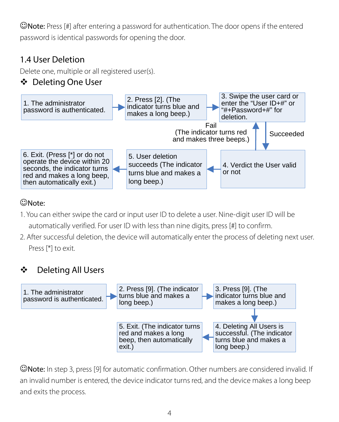Note: Press [#] after entering a password for authentication. The door opens if the entered password is identical passwords for opening the door.

# <span id="page-10-0"></span>1.4 User Deletion

Delete one, multiple or all registered user(s).

# Deleting One User



# Note:

- 1. You can either swipe the card or input user ID to delete a user. Nine-digit user ID will be automatically verified. For user ID with less than nine digits, press [#] to confirm.
- 2. After successful deletion, the device will automatically enter the process of deleting next user. Press [\*] to exit.

# Deleting All Users



Note: In step 3, press [9] for automatic confirmation. Other numbers are considered invalid. If an invalid number is entered, the device indicator turns red, and the device makes a long beep and exits the process.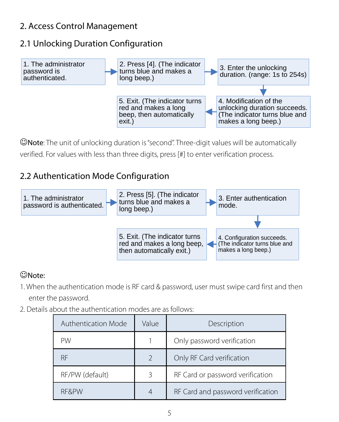#### <span id="page-11-0"></span>2. Access Control Management

#### <span id="page-11-1"></span>2.1 Unlocking Duration Configuration



Note: The unit of unlocking duration is "second". Three-digit values will be automatically verified. For values with less than three digits, press [#] to enter verification process.

#### <span id="page-11-2"></span>2.2 Authentication Mode Configuration



# Note:

- 1. When the authentication mode is RF card & password, user must swipe card first and then enter the password.
- 2. Details about the authentication modes are as follows:

| Authentication Mode | Value                    | Description                       |  |
|---------------------|--------------------------|-----------------------------------|--|
| PW                  |                          | Only password verification        |  |
| <b>RF</b>           | $\overline{\phantom{a}}$ | Only RF Card verification         |  |
| RF/PW (default)     | 3                        | RF Card or password verification  |  |
| <b>RF&amp;PW</b>    | 4                        | RF Card and password verification |  |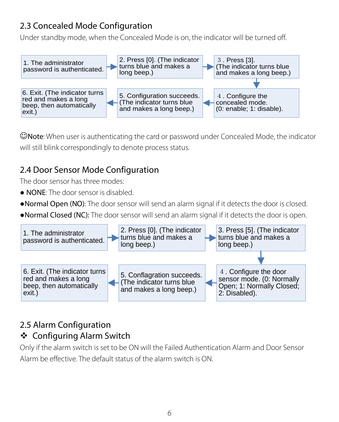# <span id="page-12-0"></span>2.3 Concealed Mode Configuration

Under standby mode, when the Concealed Mode is on, the indicator will be turned off.



Note: When user is authenticating the card or password under Concealed Mode, the indicator will still blink correspondingly to denote process status.

# <span id="page-12-1"></span>2.4 Door Sensor Mode Configuration

The door sensor has three modes:

- NONE: The door sensor is disabled.
- ●Normal Open (NO): The door sensor will send an alarm signal if it detects the door is closed.
- ●Normal Closed (NC): The door sensor will send an alarm signal if it detects the door is open.



#### <span id="page-12-2"></span>2.5 Alarm Configuration Configuring Alarm Switch

Only if the alarm switch is set to be ON will the Failed Authentication Alarm and Door Sensor Alarm be effective. The default status of the alarm switch is ON.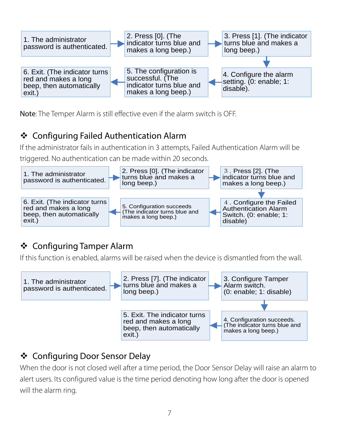

Note: The Temper Alarm is still effective even if the alarm switch is OFF.

# Configuring Failed Authentication Alarm

If the administrator fails in authentication in 3 attempts, Failed Authentication Alarm will be triggered. No authentication can be made within 20 seconds.



# ❖ Configuring Tamper Alarm

If this function is enabled, alarms will be raised when the device is dismantled from the wall.



# Configuring Door Sensor Delay

When the door is not closed well after a time period, the Door Sensor Delay will raise an alarm to alert users. Its configured value is the time period denoting how long after the door is opened will the alarm ring.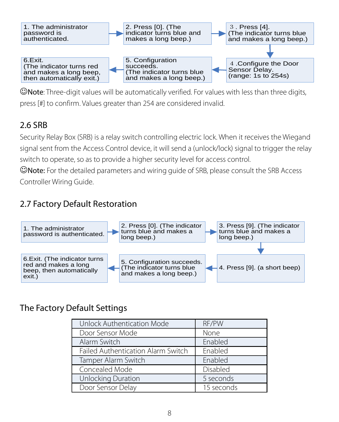

 $\mathbb{C}$ Note: Three-digit values will be automatically verified. For values with less than three digits, press [#] to confirm. Values greater than 254 are considered invalid.

# <span id="page-14-0"></span>2.6 SRB

Security Relay Box (SRB) is a relay switch controlling electric lock. When it receives the Wiegand signal sent from the Access Control device, it will send a (unlock/lock) signal to trigger the relay switch to operate, so as to provide a higher security level for access control.

Note: For the detailed parameters and wiring guide of SRB, please consult the SRB Access Controller Wiring Guide.

# <span id="page-14-1"></span>2.7 Factory Default Restoration



# The Factory Default Settings

| Unlock Authentication Mode         | RF/PW      |
|------------------------------------|------------|
| Door Sensor Mode                   | None       |
| Alarm Switch                       | Enabled    |
| Failed Authentication Alarm Switch | Enabled    |
| Tamper Alarm Switch                | Enabled    |
| Concealed Mode                     | Disabled   |
| Unlocking Duration                 | 5 seconds  |
| Door Sensor Delay                  | 15 seconds |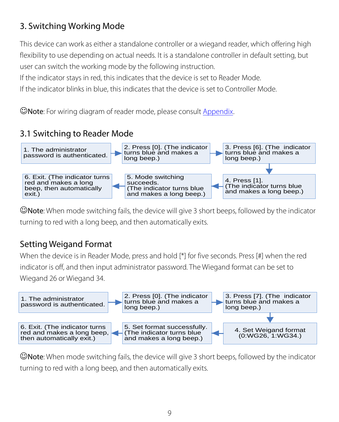# <span id="page-15-0"></span>3. Switching Working Mode

This device can work as either a standalone controller or a wiegand reader, which offering high flexibility to use depending on actual needs. It is a standalone controller in default setting, but user can switch the working mode by the following instruction.

If the indicator stays in red, this indicates that the device is set to Reader Mode.

If the indicator blinks in blue, this indicates that the device is set to Controller Mode.

Note: For wiring diagram of reader mode, please consul[t Appendix.](#page-17-0)

#### <span id="page-15-1"></span>3.1 Switching to Reader Mode



Note: When mode switching fails, the device will give 3 short beeps, followed by the indicator turning to red with a long beep, and then automatically exits.

#### Setting Weigand Format

When the device is in Reader Mode, press and hold [\*] for five seconds. Press [#] when the red indicator is off, and then input administrator password. The Wiegand format can be set to Wiegand 26 or Wiegand 34.



Note: When mode switching fails, the device will give 3 short beeps, followed by the indicator turning to red with a long beep, and then automatically exits.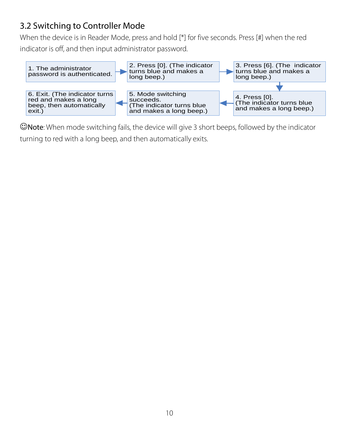#### <span id="page-16-0"></span>3.2 Switching to Controller Mode

When the device is in Reader Mode, press and hold [\*] for five seconds. Press [#] when the red

indicator is off, and then input administrator password.



Note: When mode switching fails, the device will give 3 short beeps, followed by the indicator turning to red with a long beep, and then automatically exits.